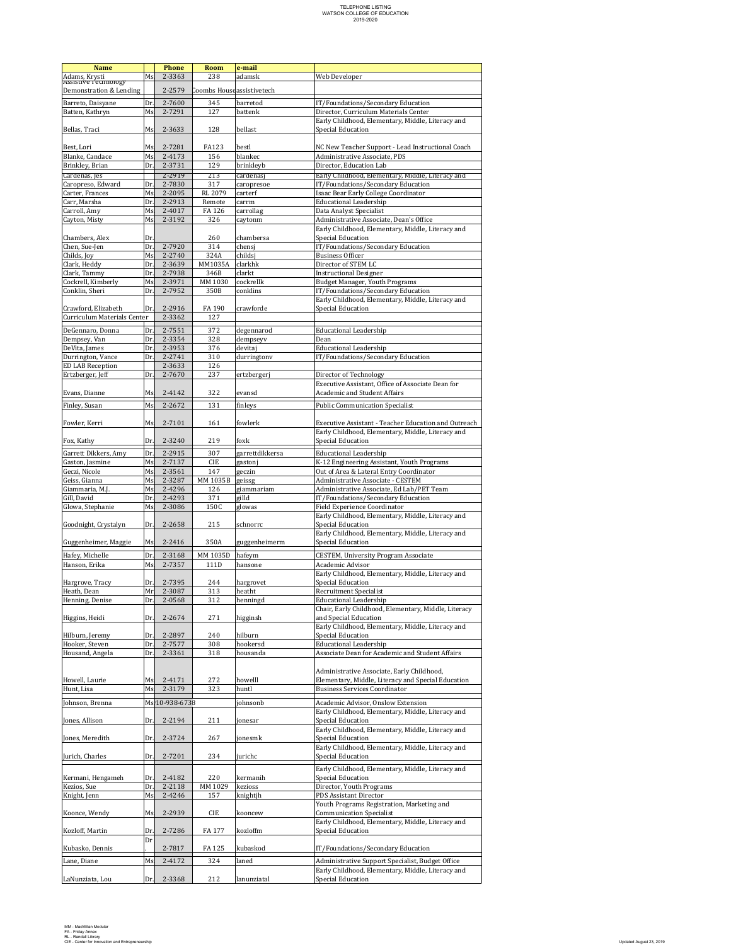## TELEPHONE LISTING<br>WATSON COLLEGE OF EDUCATION<br>2019-2020

| <b>Name</b>                                        |            | <b>Phone</b>     | Room                       | e-mail                     |                                                                                                       |  |
|----------------------------------------------------|------------|------------------|----------------------------|----------------------------|-------------------------------------------------------------------------------------------------------|--|
| Adams, Krysti<br>Assistive Technology              | Ms.        | 2-3363           | 238                        | adamsk                     | Web Developer                                                                                         |  |
| Demonstration & Lending                            |            | 2-2579           | Coombs House assistivetech |                            |                                                                                                       |  |
|                                                    |            |                  |                            |                            |                                                                                                       |  |
| Barreto, Daisyane<br>Batten, Kathryn               | Dr.<br>Ms. | 2-7600<br>2-7291 | 345<br>127                 | barretod<br>battenk        | IT/Foundations/Secondary Education<br>Director, Curriculum Materials Center                           |  |
|                                                    |            |                  |                            |                            | Early Childhood, Elementary, Middle, Literacy and                                                     |  |
| Bellas, Traci                                      | Ms.        | 2-3633           | 128                        | bellast                    | Special Education                                                                                     |  |
|                                                    |            |                  |                            |                            |                                                                                                       |  |
| Best, Lori                                         | Ms.        | 2-7281           | <b>FA123</b>               | bestl                      | NC New Teacher Support - Lead Instructional Coach                                                     |  |
| Blanke, Candace                                    | Ms         | 2-4173           | 156                        | blankec                    | Administrative Associate, PDS                                                                         |  |
| Brinkley, Brian                                    | Dr.        | 2-3731           | 129                        | brinkleyb                  | Director, Education Lab                                                                               |  |
| Cardenas, les<br>Caropreso, Edward                 | Dr.        | 2-2919<br>2-7830 | 213<br>317                 | cardenas                   | Early Childhood, Elementary, Middle, Literacy and<br>IT/Foundations/Secondary Education               |  |
| Carter, Frances                                    | Ms.        | 2-2095           | RL 2079                    | caropresoe<br>carterf      | Isaac Bear Early College Coordinator                                                                  |  |
| Carr, Marsha                                       | Dr.        | 2-2913           | Remote                     | carrm                      | <b>Educational Leadership</b>                                                                         |  |
| Carroll, Amy                                       | Ms.        | 2-4017           | FA 126                     | carrollag                  | Data Analyst Specialist                                                                               |  |
| Cayton, Misty                                      | Ms.        | 2-3192           | 326                        | caytonm                    | Administrative Associate, Dean's Office                                                               |  |
|                                                    |            |                  |                            |                            | Early Childhood, Elementary, Middle, Literacy and                                                     |  |
| Chambers, Alex<br>Chen, Sue-Jen                    | Dr.<br>Dr. | 2-7920           | 260<br>314                 | chambersa<br>chensj        | Special Education<br>IT/Foundations/Secondary Education                                               |  |
| Childs, Joy                                        | Ms         | 2-2740           | 324A                       | childsj                    | <b>Business Officer</b>                                                                               |  |
| Clark, Heddy                                       | Dr.        | 2-3639           | MM1035A                    | clarkhk                    | Director of STEM LC                                                                                   |  |
| Clark, Tammy                                       | Dr.        | 2-7938           | 346B                       | clarkt                     | <b>Instructional Designer</b>                                                                         |  |
| Cockrell, Kimberly                                 | Ms         | 2-3971           | MM 1030                    | cockrellk                  | Budget Manager, Youth Programs                                                                        |  |
| Conklin, Sheri                                     | Dr.        | 2-7952           | 350B                       | conklins                   | IT/Foundations/Secondary Education                                                                    |  |
|                                                    | Dr.        |                  | FA 190                     | crawforde                  | Early Childhood, Elementary, Middle, Literacy and<br>Special Education                                |  |
| Crawford, Elizabeth<br>Curriculum Materials Center |            | 2-2916<br>2-3362 | 127                        |                            |                                                                                                       |  |
|                                                    |            |                  |                            |                            |                                                                                                       |  |
| DeGennaro, Donna<br>Dempsey, Van                   | Dr.<br>Dr. | 2-7551<br>2-3354 | 372<br>328                 | degennarod<br>dempseyv     | <b>Educational Leadership</b><br>Dean                                                                 |  |
| DeVita, James                                      | Dr.        | 2-3953           | 376                        | devitaj                    | <b>Educational Leadership</b>                                                                         |  |
| Durrington, Vance                                  | Dr.        | 2-2741           | 310                        | durringtony                | IT/Foundations/Secondary Education                                                                    |  |
| <b>ED LAB Reception</b>                            |            | 2-3633           | 126                        |                            |                                                                                                       |  |
| Ertzberger, Jeff                                   | Dr.        | 2-7670           | 237                        | ertzbergerj                | Director of Technology                                                                                |  |
|                                                    |            |                  |                            |                            | Executive Assistant, Office of Associate Dean for                                                     |  |
| Evans, Dianne                                      | Ms         | 2-4142           | 322                        | evansd                     | <b>Academic and Student Affairs</b>                                                                   |  |
| Finley, Susan                                      | Ms.        | 2-2672           | 131                        | finleys                    | <b>Public Communication Specialist</b>                                                                |  |
|                                                    |            |                  |                            |                            |                                                                                                       |  |
| Fowler, Kerri                                      | Ms         | 2-7101           | 161                        | fowlerk                    | Executive Assistant - Teacher Education and Outreach                                                  |  |
| Fox, Kathy                                         | Dr.        | 2-3240           | 219                        | foxk                       | Early Childhood, Elementary, Middle, Literacy and<br>Special Education                                |  |
|                                                    |            |                  |                            |                            |                                                                                                       |  |
| Garrett Dikkers, Amy<br>Gaston, Jasmine            | Dr.<br>Ms. | 2-2915<br>2-7137 | 307<br><b>CIE</b>          | garrettdikkersa<br>gastonj | <b>Educational Leadership</b><br>K-12 Engineering Assistant, Youth Programs                           |  |
| Geczi, Nicole                                      | Ms         | 2-3561           | 147                        | geczin                     | Out of Area & Lateral Entry Coordinator                                                               |  |
| Geiss, Gianna                                      | Ms         | 2-3287           | MM 1035B                   | geissg                     | Administrative Associate - CESTEM                                                                     |  |
| Giammaria, M.J.                                    | Ms         | 2-4296           | 126                        | giammariam                 | Administrative Associate, Ed Lab/PET Team                                                             |  |
| Gill, David                                        | Dr.        | 2-4293           | 371                        | gilld                      | IT/Foundations/Secondary Education                                                                    |  |
| Glowa, Stephanie                                   | Ms         | 2-3086           | 150C                       | glowas                     | Field Experience Coordinator                                                                          |  |
|                                                    | Dr.        | 2-2658           | 215                        | schnorrc                   | Early Childhood, Elementary, Middle, Literacy and<br>Special Education                                |  |
| Goodnight, Crystalyn                               |            |                  |                            |                            | Early Childhood, Elementary, Middle, Literacy and                                                     |  |
| Guggenheimer, Maggie                               | Ms.        | 2-2416           | 350A                       | guggenheimerm              | Special Education                                                                                     |  |
| Hafey, Michelle                                    | Dr.        | 2-3168           | MM 1035D                   | hafeym                     | <b>CESTEM.</b> University Program Associate                                                           |  |
| Hanson, Erika                                      | Ms         | 2-7357           | 111D                       | hansone                    | Academic Advisor                                                                                      |  |
|                                                    |            |                  |                            |                            | Early Childhood, Elementary, Middle, Literacy and                                                     |  |
| Hargrove, Tracy                                    | Dr.        | 2-7395           | 244                        | hargrovet                  | Special Education                                                                                     |  |
| Heath, Dean                                        | Mr.        | 2-3087           | 313                        | heatht                     | <b>Recruitment Specialist</b>                                                                         |  |
| Henning, Denise                                    | Dr.        | 2-0568           | 312                        | henningd                   | <b>Educational Leadership</b><br>Chair, Early Childhood, Elementary, Middle, Literacy                 |  |
| Higgins, Heidi                                     | Dr.        | 2-2674           | 271                        | higginsh                   | and Special Education                                                                                 |  |
|                                                    |            |                  |                            |                            | Early Childhood, Elementary, Middle, Literacy and                                                     |  |
| Hilburn, Jeremy                                    | Dr.        | 2-2897           | 240                        | hilburn                    | Special Education                                                                                     |  |
| Hooker, Steven                                     | Dr.        | 2-7577           | 308                        | hookersd                   | <b>Educational Leadership</b>                                                                         |  |
| Housand, Angela                                    | Dr.        | 2-3361           | 318                        | housanda                   | Associate Dean for Academic and Student Affairs                                                       |  |
|                                                    |            |                  |                            |                            | Administrative Associate. Early Childhood.                                                            |  |
| Howell, Laurie                                     | Ms         | 2-4171           | 272                        | howelll                    | Elementary, Middle, Literacy and Special Education                                                    |  |
| Hunt, Lisa                                         | Ms.        | 2-3179           | 323                        | huntl                      | <b>Business Services Coordinator</b>                                                                  |  |
| Johnson, Brenna                                    |            | Ms. 10-938-6738  |                            | johnsonb                   | Academic Advisor, Onslow Extension                                                                    |  |
|                                                    |            |                  |                            |                            | Early Childhood, Elementary, Middle, Literacy and                                                     |  |
| Jones, Allison                                     | Dr.        | 2-2194           | 211                        | jonesar                    | Special Education                                                                                     |  |
|                                                    |            |                  |                            |                            | Early Childhood, Elementary, Middle, Literacy and                                                     |  |
| Jones, Meredith                                    | Dr.        | 2-3724           | 267                        | jonesmk                    | Special Education                                                                                     |  |
|                                                    |            |                  |                            |                            | Early Childhood, Elementary, Middle, Literacy and                                                     |  |
| Jurich, Charles                                    | Dr.        | 2-7201           | 234                        | jurichc                    | Special Education                                                                                     |  |
|                                                    |            |                  |                            |                            | Early Childhood, Elementary, Middle, Literacy and                                                     |  |
| Kermani, Hengameh                                  | Dr.        | 2-4182           | 220                        | kermanih                   | Special Education                                                                                     |  |
| Kezios, Sue<br>Knight, Jenn                        | Dr.<br>Ms. | 2-2118<br>2-4246 | MM 1029<br>157             | kezioss<br>knightjh        | Director, Youth Programs<br>PDS Assistant Director                                                    |  |
|                                                    |            |                  |                            |                            | Youth Programs Registration, Marketing and                                                            |  |
| Koonce, Wendy                                      | Ms         | 2-2939           | CIE                        | kooncew                    | <b>Communication Specialist</b>                                                                       |  |
|                                                    |            |                  |                            |                            | Early Childhood, Elementary, Middle, Literacy and                                                     |  |
| Kozloff, Martin                                    | Dr.        | 2-7286           | FA 177                     | kozloffm                   | Special Education                                                                                     |  |
| Kubasko, Dennis                                    | Dr         | 2-7817           | FA 125                     | kubaskod                   | IT/Foundations/Secondary Education                                                                    |  |
|                                                    |            |                  |                            |                            |                                                                                                       |  |
| Lane, Diane                                        | Ms         | 2-4172           | 324                        | laned                      | Administrative Support Specialist, Budget Office<br>Early Childhood, Elementary, Middle, Literacy and |  |
| LaNunziata, Lou                                    | Dr.        | 2-3368           | 212                        | lanunziatal                | Special Education                                                                                     |  |
|                                                    |            |                  |                            |                            |                                                                                                       |  |